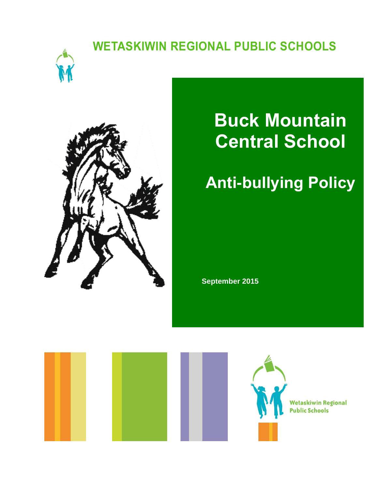### **WETASKIWIN REGIONAL PUBLIC SCHOOLS**





# **Buck Mountain Central School**

## **Anti-bullying Policy**

**September 2015**

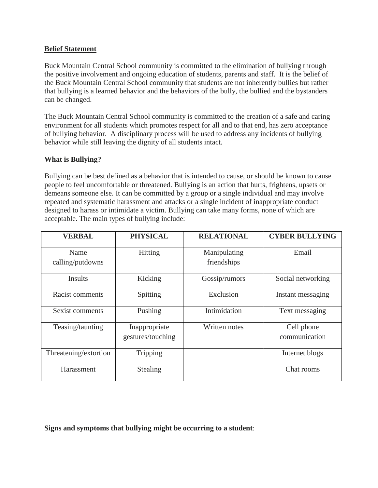#### **Belief Statement**

Buck Mountain Central School community is committed to the elimination of bullying through the positive involvement and ongoing education of students, parents and staff. It is the belief of the Buck Mountain Central School community that students are not inherently bullies but rather that bullying is a learned behavior and the behaviors of the bully, the bullied and the bystanders can be changed.

The Buck Mountain Central School community is committed to the creation of a safe and caring environment for all students which promotes respect for all and to that end, has zero acceptance of bullying behavior. A disciplinary process will be used to address any incidents of bullying behavior while still leaving the dignity of all students intact.

#### **What is Bullying?**

Bullying can be best defined as a behavior that is intended to cause, or should be known to cause people to feel uncomfortable or threatened. Bullying is an action that hurts, frightens, upsets or demeans someone else. It can be committed by a group or a single individual and may involve repeated and systematic harassment and attacks or a single incident of inappropriate conduct designed to harass or intimidate a victim. Bullying can take many forms, none of which are acceptable. The main types of bullying include:

| <b>VERBAL</b>            | <b>PHYSICAL</b>                    | <b>RELATIONAL</b>           | <b>CYBER BULLYING</b>       |
|--------------------------|------------------------------------|-----------------------------|-----------------------------|
| Name<br>calling/putdowns | Hitting                            | Manipulating<br>friendships | Email                       |
| Insults                  | Kicking                            | Gossip/rumors               | Social networking           |
| Racist comments          | Spitting                           | Exclusion                   | Instant messaging           |
| Sexist comments          | Pushing                            | Intimidation                | Text messaging              |
| Teasing/taunting         | Inappropriate<br>gestures/touching | Written notes               | Cell phone<br>communication |
| Threatening/extortion    | Tripping                           |                             | Internet blogs              |
| Harassment               | <b>Stealing</b>                    |                             | Chat rooms                  |

**Signs and symptoms that bullying might be occurring to a student**: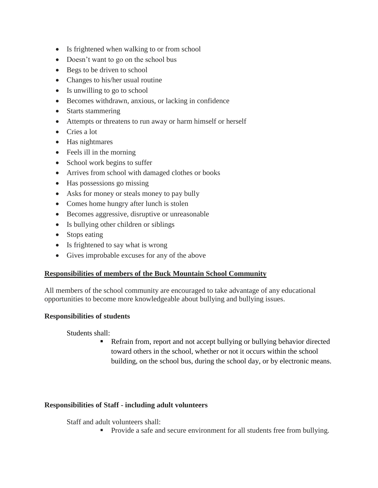- Is frightened when walking to or from school
- Doesn't want to go on the school bus
- Begs to be driven to school
- Changes to his/her usual routine
- Is unwilling to go to school
- Becomes withdrawn, anxious, or lacking in confidence
- Starts stammering
- Attempts or threatens to run away or harm himself or herself
- Cries a lot
- Has nightmares
- Feels ill in the morning
- School work begins to suffer
- Arrives from school with damaged clothes or books
- Has possessions go missing
- Asks for money or steals money to pay bully
- Comes home hungry after lunch is stolen
- Becomes aggressive, disruptive or unreasonable
- Is bullying other children or siblings
- Stops eating
- Is frightened to say what is wrong
- Gives improbable excuses for any of the above

#### **Responsibilities of members of the Buck Mountain School Community**

All members of the school community are encouraged to take advantage of any educational opportunities to become more knowledgeable about bullying and bullying issues.

#### **Responsibilities of students**

Students shall:

 Refrain from, report and not accept bullying or bullying behavior directed toward others in the school, whether or not it occurs within the school building, on the school bus, during the school day, or by electronic means.

#### **Responsibilities of Staff - including adult volunteers**

Staff and adult volunteers shall:

• Provide a safe and secure environment for all students free from bullying.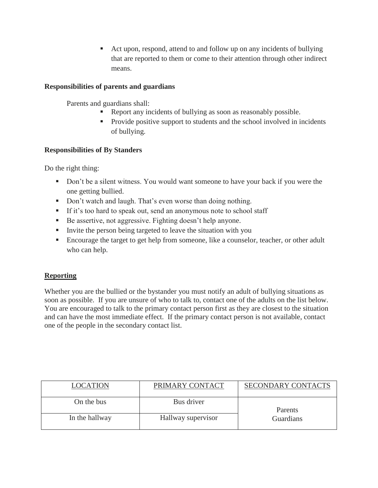■ Act upon, respond, attend to and follow up on any incidents of bullying that are reported to them or come to their attention through other indirect means.

#### **Responsibilities of parents and guardians**

Parents and guardians shall:

- Report any incidents of bullying as soon as reasonably possible.
- **Provide positive support to students and the school involved in incidents** of bullying.

#### **Responsibilities of By Standers**

Do the right thing:

- Don't be a silent witness. You would want someone to have your back if you were the one getting bullied.
- Don't watch and laugh. That's even worse than doing nothing.
- If it's too hard to speak out, send an anonymous note to school staff
- Be assertive, not aggressive. Fighting doesn't help anyone.
- Invite the person being targeted to leave the situation with you
- **Encourage the target to get help from someone, like a counselor, teacher, or other adult** who can help.

#### **Reporting**

Whether you are the bullied or the bystander you must notify an adult of bullying situations as soon as possible. If you are unsure of who to talk to, contact one of the adults on the list below. You are encouraged to talk to the primary contact person first as they are closest to the situation and can have the most immediate effect. If the primary contact person is not available, contact one of the people in the secondary contact list.

| <b>LOCATION</b> | PRIMARY CONTACT    | <b>SECONDARY CONTACTS</b> |  |
|-----------------|--------------------|---------------------------|--|
| On the bus      | Bus driver         | Parents                   |  |
| In the hallway  | Hallway supervisor | Guardians                 |  |